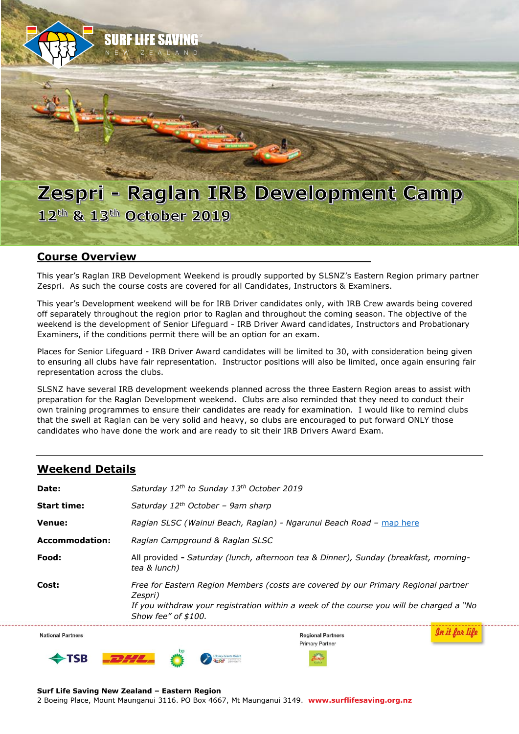

### **Course Overview**

This year's Raglan IRB Development Weekend is proudly supported by SLSNZ's Eastern Region primary partner Zespri. As such the course costs are covered for all Candidates, Instructors & Examiners.

This year's Development weekend will be for IRB Driver candidates only, with IRB Crew awards being covered off separately throughout the region prior to Raglan and throughout the coming season. The objective of the weekend is the development of Senior Lifeguard - IRB Driver Award candidates, Instructors and Probationary Examiners, if the conditions permit there will be an option for an exam.

Places for Senior Lifeguard - IRB Driver Award candidates will be limited to 30, with consideration being given to ensuring all clubs have fair representation. Instructor positions will also be limited, once again ensuring fair representation across the clubs.

SLSNZ have several IRB development weekends planned across the three Eastern Region areas to assist with preparation for the Raglan Development weekend. Clubs are also reminded that they need to conduct their own training programmes to ensure their candidates are ready for examination. I would like to remind clubs that the swell at Raglan can be very solid and heavy, so clubs are encouraged to put forward ONLY those candidates who have done the work and are ready to sit their IRB Drivers Award Exam.

### **Weekend Details**

| Date:                    | Saturday 12 <sup>th</sup> to Sunday 13 <sup>th</sup> October 2019                                                                                                                                               |  |
|--------------------------|-----------------------------------------------------------------------------------------------------------------------------------------------------------------------------------------------------------------|--|
| <b>Start time:</b>       | Saturday $12^{th}$ October - 9am sharp                                                                                                                                                                          |  |
| Venue:                   | Raglan SLSC (Wainui Beach, Raglan) - Ngarunui Beach Road – map here                                                                                                                                             |  |
| <b>Accommodation:</b>    | Raglan Campground & Raglan SLSC                                                                                                                                                                                 |  |
| Food:                    | All provided - Saturday (lunch, afternoon tea & Dinner), Sunday (breakfast, morning-<br>tea & lunch)                                                                                                            |  |
| Cost:                    | Free for Eastern Region Members (costs are covered by our Primary Regional partner<br>Zespri)<br>If you withdraw your registration within a week of the course you will be charged a "No<br>Show fee" of \$100. |  |
| <b>National Partners</b> | <b>Regional Partners</b><br>Primary Partner                                                                                                                                                                     |  |

2 Boeing Place, Mount Maunganui 3116. PO Box 4667, Mt Maunganui 3149. **www.surflifesaving.org.nz**